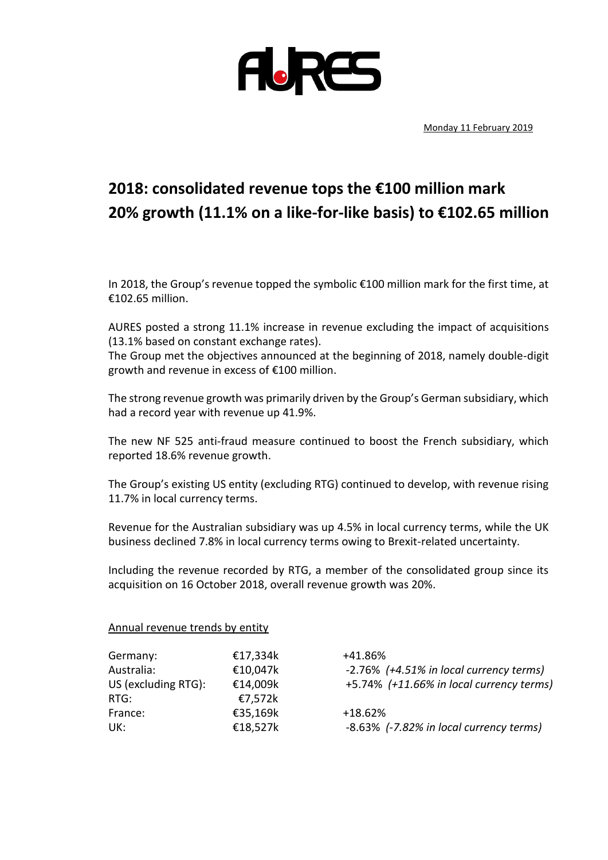

Monday 11 February 2019

## **2018: consolidated revenue tops the €100 million mark 20% growth (11.1% on a like-for-like basis) to €102.65 million**

In 2018, the Group's revenue topped the symbolic €100 million mark for the first time, at €102.65 million.

AURES posted a strong 11.1% increase in revenue excluding the impact of acquisitions (13.1% based on constant exchange rates).

The Group met the objectives announced at the beginning of 2018, namely double-digit growth and revenue in excess of €100 million.

The strong revenue growth was primarily driven by the Group's German subsidiary, which had a record year with revenue up 41.9%.

The new NF 525 anti-fraud measure continued to boost the French subsidiary, which reported 18.6% revenue growth.

The Group's existing US entity (excluding RTG) continued to develop, with revenue rising 11.7% in local currency terms.

Revenue for the Australian subsidiary was up 4.5% in local currency terms, while the UK business declined 7.8% in local currency terms owing to Brexit-related uncertainty.

Including the revenue recorded by RTG, a member of the consolidated group since its acquisition on 16 October 2018, overall revenue growth was 20%.

Annual revenue trends by entity

| Germany:            | €17,334k | +41.86%                                  |
|---------------------|----------|------------------------------------------|
| Australia:          | €10,047k | -2.76% (+4.51% in local currency terms)  |
| US (excluding RTG): | €14,009k | +5.74% (+11.66% in local currency terms) |
| RTG:                | €7,572k  |                                          |
| France:             | €35,169k | $+18.62%$                                |
| UK:                 | €18,527k | -8.63% (-7.82% in local currency terms)  |
|                     |          |                                          |